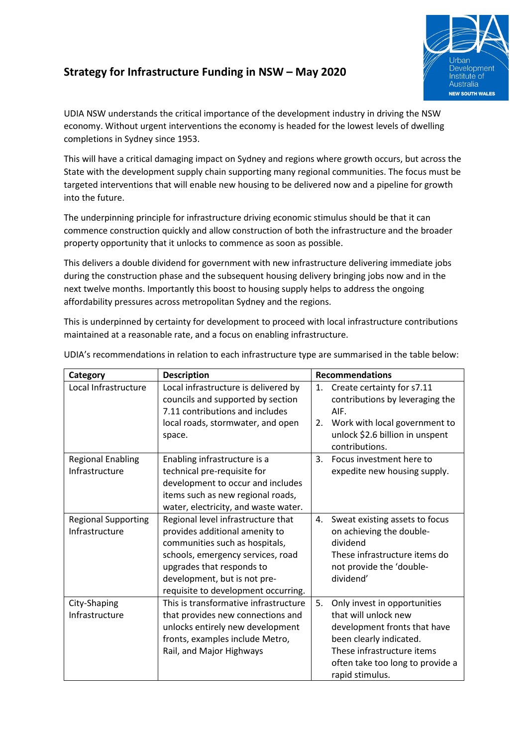# **Strategy for Infrastructure Funding in NSW – May 2020**



UDIA NSW understands the critical importance of the development industry in driving the NSW economy. Without urgent interventions the economy is headed for the lowest levels of dwelling completions in Sydney since 1953.

This will have a critical damaging impact on Sydney and regions where growth occurs, but across the State with the development supply chain supporting many regional communities. The focus must be targeted interventions that will enable new housing to be delivered now and a pipeline for growth into the future.

The underpinning principle for infrastructure driving economic stimulus should be that it can commence construction quickly and allow construction of both the infrastructure and the broader property opportunity that it unlocks to commence as soon as possible.

This delivers a double dividend for government with new infrastructure delivering immediate jobs during the construction phase and the subsequent housing delivery bringing jobs now and in the next twelve months. Importantly this boost to housing supply helps to address the ongoing affordability pressures across metropolitan Sydney and the regions.

This is underpinned by certainty for development to proceed with local infrastructure contributions maintained at a reasonable rate, and a focus on enabling infrastructure.

| Category                                     | <b>Description</b>                                                                                                                                                                                                                              |    | <b>Recommendations</b>                                                                                                                                                                               |  |  |
|----------------------------------------------|-------------------------------------------------------------------------------------------------------------------------------------------------------------------------------------------------------------------------------------------------|----|------------------------------------------------------------------------------------------------------------------------------------------------------------------------------------------------------|--|--|
| Local Infrastructure                         | Local infrastructure is delivered by<br>councils and supported by section<br>7.11 contributions and includes                                                                                                                                    | 1. | Create certainty for s7.11<br>contributions by leveraging the<br>AIF.                                                                                                                                |  |  |
|                                              | local roads, stormwater, and open<br>space.                                                                                                                                                                                                     | 2. | Work with local government to<br>unlock \$2.6 billion in unspent<br>contributions.                                                                                                                   |  |  |
| <b>Regional Enabling</b><br>Infrastructure   | Enabling infrastructure is a<br>technical pre-requisite for<br>development to occur and includes<br>items such as new regional roads,<br>water, electricity, and waste water.                                                                   | 3. | Focus investment here to<br>expedite new housing supply.                                                                                                                                             |  |  |
| <b>Regional Supporting</b><br>Infrastructure | Regional level infrastructure that<br>provides additional amenity to<br>communities such as hospitals,<br>schools, emergency services, road<br>upgrades that responds to<br>development, but is not pre-<br>requisite to development occurring. | 4. | Sweat existing assets to focus<br>on achieving the double-<br>dividend<br>These infrastructure items do<br>not provide the 'double-<br>dividend'                                                     |  |  |
| City-Shaping<br>Infrastructure               | This is transformative infrastructure<br>that provides new connections and<br>unlocks entirely new development<br>fronts, examples include Metro,<br>Rail, and Major Highways                                                                   | 5. | Only invest in opportunities<br>that will unlock new<br>development fronts that have<br>been clearly indicated.<br>These infrastructure items<br>often take too long to provide a<br>rapid stimulus. |  |  |

UDIA's recommendations in relation to each infrastructure type are summarised in the table below: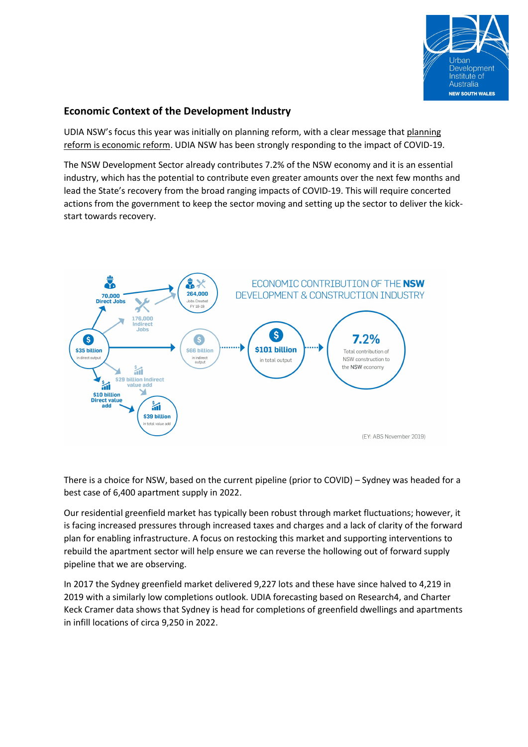

## **Economic Context of the Development Industry**

UDIA NSW's focus this year was initially on planning reform, with a clear message that planning reform is economic reform. UDIA NSW has been strongly responding to the impact of COVID-19.

The NSW Development Sector already contributes 7.2% of the NSW economy and it is an essential industry, which has the potential to contribute even greater amounts over the next few months and lead the State's recovery from the broad ranging impacts of COVID-19. This will require concerted actions from the government to keep the sector moving and setting up the sector to deliver the kickstart towards recovery.



There is a choice for NSW, based on the current pipeline (prior to COVID) – Sydney was headed for a best case of 6,400 apartment supply in 2022.

Our residential greenfield market has typically been robust through market fluctuations; however, it is facing increased pressures through increased taxes and charges and a lack of clarity of the forward plan for enabling infrastructure. A focus on restocking this market and supporting interventions to rebuild the apartment sector will help ensure we can reverse the hollowing out of forward supply pipeline that we are observing.

In 2017 the Sydney greenfield market delivered 9,227 lots and these have since halved to 4,219 in 2019 with a similarly low completions outlook. UDIA forecasting based on Research4, and Charter Keck Cramer data shows that Sydney is head for completions of greenfield dwellings and apartments in infill locations of circa 9,250 in 2022.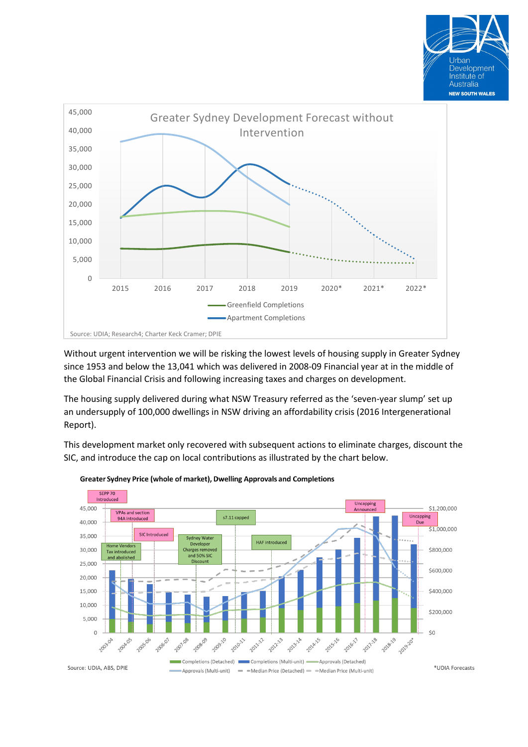



Without urgent intervention we will be risking the lowest levels of housing supply in Greater Sydney since 1953 and below the 13,041 which was delivered in 2008-09 Financial year at in the middle of the Global Financial Crisis and following increasing taxes and charges on development.

The housing supply delivered during what NSW Treasury referred as the 'seven-year slump' set up an undersupply of 100,000 dwellings in NSW driving an affordability crisis (2016 Intergenerational Report).

This development market only recovered with subsequent actions to eliminate charges, discount the SIC, and introduce the cap on local contributions as illustrated by the chart below.



#### Greater Sydney Price (whole of market), Dwelling Approvals and Completions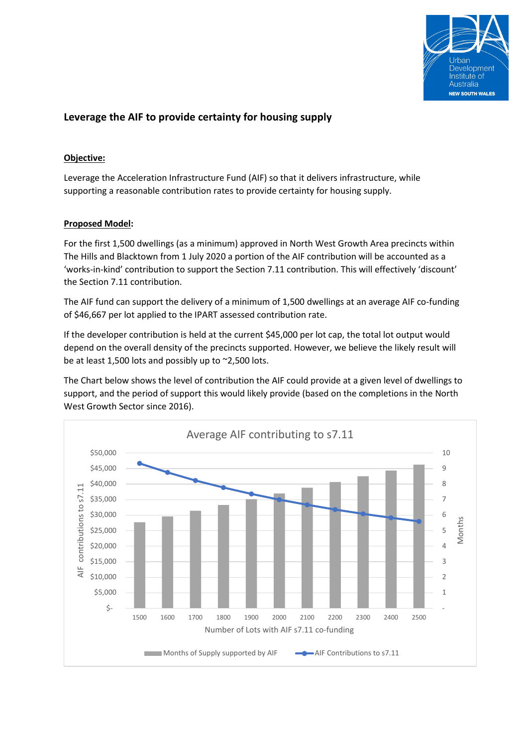

# **Leverage the AIF to provide certainty for housing supply**

### **Objective:**

Leverage the Acceleration Infrastructure Fund (AIF) so that it delivers infrastructure, while supporting a reasonable contribution rates to provide certainty for housing supply.

#### **Proposed Model:**

For the first 1,500 dwellings (as a minimum) approved in North West Growth Area precincts within The Hills and Blacktown from 1 July 2020 a portion of the AIF contribution will be accounted as a 'works-in-kind' contribution to support the Section 7.11 contribution. This will effectively 'discount' the Section 7.11 contribution.

The AIF fund can support the delivery of a minimum of 1,500 dwellings at an average AIF co-funding of \$46,667 per lot applied to the IPART assessed contribution rate.

If the developer contribution is held at the current \$45,000 per lot cap, the total lot output would depend on the overall density of the precincts supported. However, we believe the likely result will be at least 1,500 lots and possibly up to ~2,500 lots.

The Chart below shows the level of contribution the AIF could provide at a given level of dwellings to support, and the period of support this would likely provide (based on the completions in the North West Growth Sector since 2016).

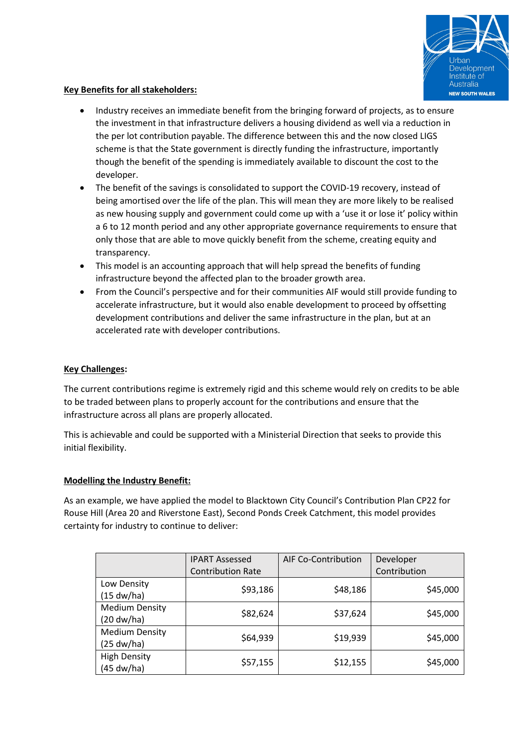

### **Key Benefits for all stakeholders:**

- Industry receives an immediate benefit from the bringing forward of projects, as to ensure the investment in that infrastructure delivers a housing dividend as well via a reduction in the per lot contribution payable. The difference between this and the now closed LIGS scheme is that the State government is directly funding the infrastructure, importantly though the benefit of the spending is immediately available to discount the cost to the developer.
- The benefit of the savings is consolidated to support the COVID-19 recovery, instead of being amortised over the life of the plan. This will mean they are more likely to be realised as new housing supply and government could come up with a 'use it or lose it' policy within a 6 to 12 month period and any other appropriate governance requirements to ensure that only those that are able to move quickly benefit from the scheme, creating equity and transparency.
- This model is an accounting approach that will help spread the benefits of funding infrastructure beyond the affected plan to the broader growth area.
- From the Council's perspective and for their communities AIF would still provide funding to accelerate infrastructure, but it would also enable development to proceed by offsetting development contributions and deliver the same infrastructure in the plan, but at an accelerated rate with developer contributions.

#### **Key Challenges:**

The current contributions regime is extremely rigid and this scheme would rely on credits to be able to be traded between plans to properly account for the contributions and ensure that the infrastructure across all plans are properly allocated.

This is achievable and could be supported with a Ministerial Direction that seeks to provide this initial flexibility.

#### **Modelling the Industry Benefit:**

As an example, we have applied the model to Blacktown City Council's Contribution Plan CP22 for Rouse Hill (Area 20 and Riverstone East), Second Ponds Creek Catchment, this model provides certainty for industry to continue to deliver:

|                                                 | <b>IPART Assessed</b>    | AIF Co-Contribution | Developer    |
|-------------------------------------------------|--------------------------|---------------------|--------------|
|                                                 | <b>Contribution Rate</b> |                     | Contribution |
| Low Density<br>(15 dw/ha)                       | \$93,186                 | \$48,186            | \$45,000     |
| <b>Medium Density</b><br>$(20 \, \text{dw/ha})$ | \$82,624                 | \$37,624            | \$45,000     |
| <b>Medium Density</b><br>(25 dw/ha)             | \$64,939                 | \$19,939            | \$45,000     |
| <b>High Density</b><br>(45 dw/ha)               | \$57,155                 | \$12,155            | \$45,000     |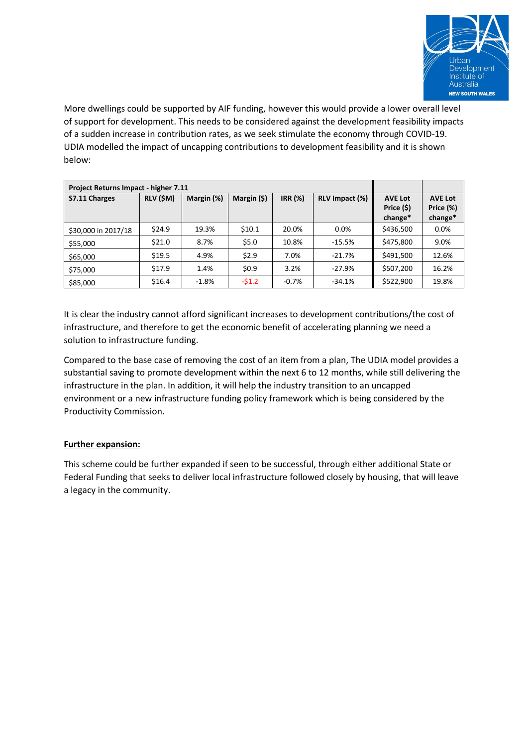

More dwellings could be supported by AIF funding, however this would provide a lower overall level of support for development. This needs to be considered against the development feasibility impacts of a sudden increase in contribution rates, as we seek stimulate the economy through COVID-19. UDIA modelled the impact of uncapping contributions to development feasibility and it is shown below:

| Project Returns Impact - higher 7.11 |           |            |             |                |                |                                         |                                        |
|--------------------------------------|-----------|------------|-------------|----------------|----------------|-----------------------------------------|----------------------------------------|
| S7.11 Charges                        | RLV (\$M) | Margin (%) | Margin (\$) | <b>IRR</b> (%) | RLV Impact (%) | <b>AVE Lot</b><br>Price (\$)<br>change* | <b>AVE Lot</b><br>Price (%)<br>change* |
| \$30,000 in 2017/18                  | \$24.9    | 19.3%      | \$10.1      | 20.0%          | $0.0\%$        | \$436,500                               | $0.0\%$                                |
| \$55,000                             | \$21.0    | 8.7%       | \$5.0       | 10.8%          | $-15.5%$       | \$475,800                               | 9.0%                                   |
| \$65,000                             | \$19.5    | 4.9%       | \$2.9       | 7.0%           | $-21.7%$       | \$491,500                               | 12.6%                                  |
| \$75,000                             | \$17.9    | 1.4%       | \$0.9       | 3.2%           | $-27.9%$       | \$507,200                               | 16.2%                                  |
| \$85,000                             | \$16.4    | $-1.8%$    | $-51.2$     | $-0.7%$        | $-34.1%$       | \$522,900                               | 19.8%                                  |

It is clear the industry cannot afford significant increases to development contributions/the cost of infrastructure, and therefore to get the economic benefit of accelerating planning we need a solution to infrastructure funding.

Compared to the base case of removing the cost of an item from a plan, The UDIA model provides a substantial saving to promote development within the next 6 to 12 months, while still delivering the infrastructure in the plan. In addition, it will help the industry transition to an uncapped environment or a new infrastructure funding policy framework which is being considered by the Productivity Commission.

### **Further expansion:**

This scheme could be further expanded if seen to be successful, through either additional State or Federal Funding that seeks to deliver local infrastructure followed closely by housing, that will leave a legacy in the community.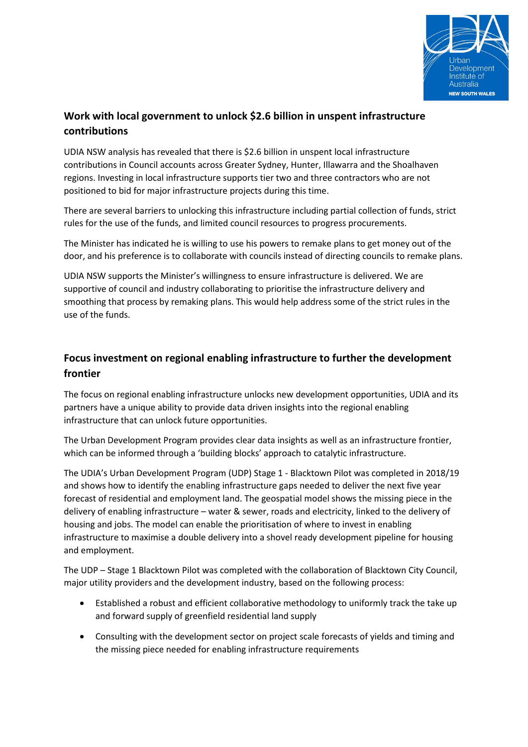

# **Work with local government to unlock \$2.6 billion in unspent infrastructure contributions**

UDIA NSW analysis has revealed that there is \$2.6 billion in unspent local infrastructure contributions in Council accounts across Greater Sydney, Hunter, Illawarra and the Shoalhaven regions. Investing in local infrastructure supports tier two and three contractors who are not positioned to bid for major infrastructure projects during this time.

There are several barriers to unlocking this infrastructure including partial collection of funds, strict rules for the use of the funds, and limited council resources to progress procurements.

The Minister has indicated he is willing to use his powers to remake plans to get money out of the door, and his preference is to collaborate with councils instead of directing councils to remake plans.

UDIA NSW supports the Minister's willingness to ensure infrastructure is delivered. We are supportive of council and industry collaborating to prioritise the infrastructure delivery and smoothing that process by remaking plans. This would help address some of the strict rules in the use of the funds.

# **Focus investment on regional enabling infrastructure to further the development frontier**

The focus on regional enabling infrastructure unlocks new development opportunities, UDIA and its partners have a unique ability to provide data driven insights into the regional enabling infrastructure that can unlock future opportunities.

The Urban Development Program provides clear data insights as well as an infrastructure frontier, which can be informed through a 'building blocks' approach to catalytic infrastructure.

The UDIA's Urban Development Program (UDP) Stage 1 - Blacktown Pilot was completed in 2018/19 and shows how to identify the enabling infrastructure gaps needed to deliver the next five year forecast of residential and employment land. The geospatial model shows the missing piece in the delivery of enabling infrastructure – water & sewer, roads and electricity, linked to the delivery of housing and jobs. The model can enable the prioritisation of where to invest in enabling infrastructure to maximise a double delivery into a shovel ready development pipeline for housing and employment.

The UDP – Stage 1 Blacktown Pilot was completed with the collaboration of Blacktown City Council, major utility providers and the development industry, based on the following process:

- Established a robust and efficient collaborative methodology to uniformly track the take up and forward supply of greenfield residential land supply
- Consulting with the development sector on project scale forecasts of yields and timing and the missing piece needed for enabling infrastructure requirements